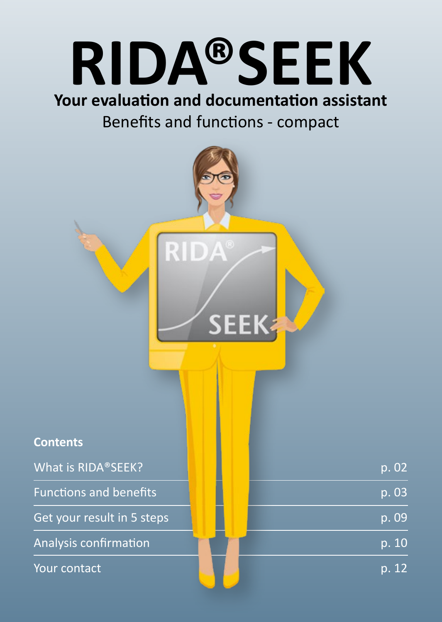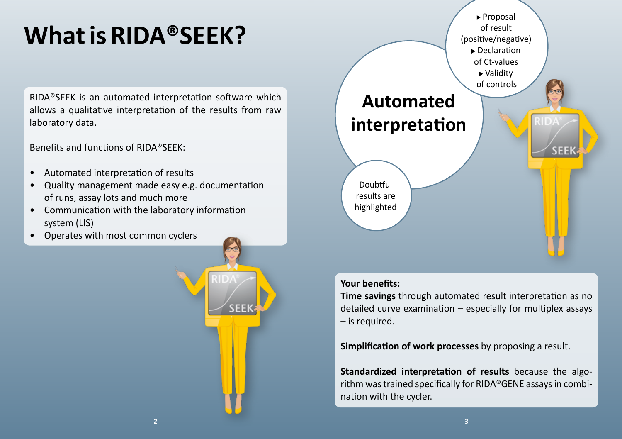# **What is RIDA®SEEK?**

RIDA®SEEK is an automated interpretation software which allows a qualitative interpretation of the results from raw laboratory data.

Benefits and functions of RIDA®SEEK:

- Automated interpretation of results
- Quality management made easy e.g. documentation of runs, assay lots and much more
- Communication with the laboratory information system (LIS)
- Operates with most common cyclers



#### **Your benefits:**

**Time savings** through automated result interpretation as no detailed curve examination – especially for multiplex assays – is required.

**Simplification of work processes** by proposing a result.

**Standardized interpretation of results** because the algorithm was trained specifically for RIDA®GENE assays in combination with the cycler.

**SEEI**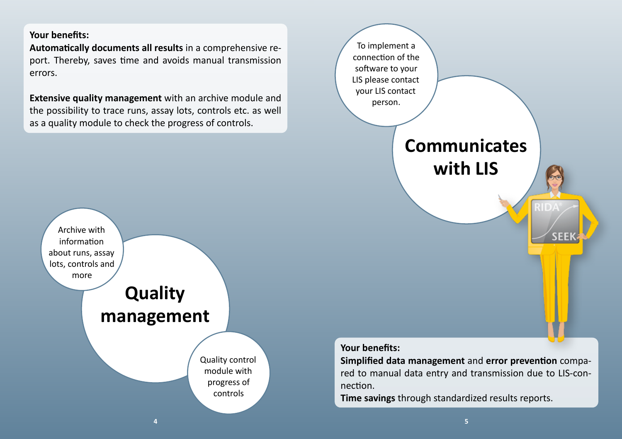#### **Your benefits:**

**Automatically documents all results** in a comprehensive report. Thereby, saves time and avoids manual transmission errors.

**Extensive quality management** with an archive module and the possibility to trace runs, assay lots, controls etc. as well as a quality module to check the progress of controls.





nection.

**Time savings** through standardized results reports.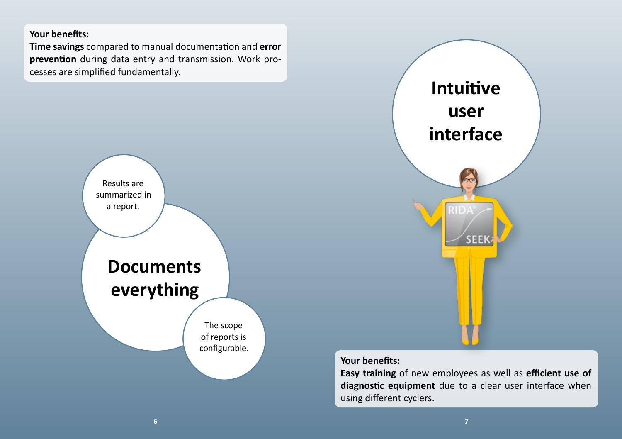#### **Your benefits:**

**Time savings** compared to manual documentation and **error prevention** during data entry and transmission. Work processes are simplified fundamentally.





#### **Your benefits:**

**Easy training** of new employees as well as **efficient use of diagnostic equipment** due to a clear user interface when using different cyclers.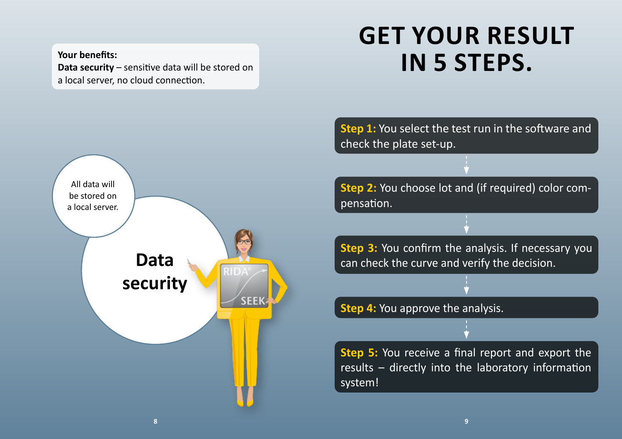**Your benefits: Data security** – sensitive data will be stored on a local server, no cloud connection.

## **GET YOUR RESULT IN 5 STEPS.**



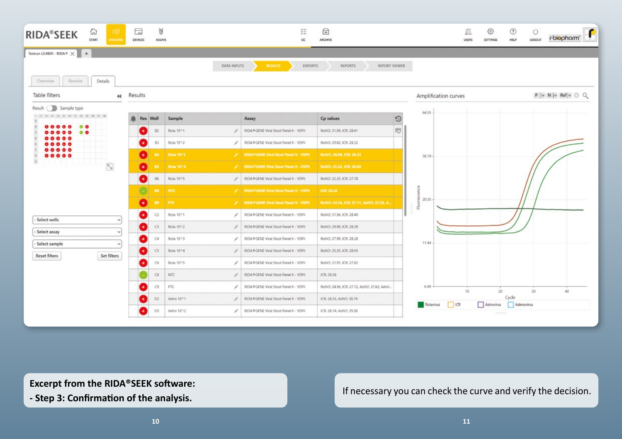

**Excerpt from the RIDA®SEEK software: Excerpt from the RIDA®SEEK software: Excerpt from the RIDA®SEEK software: Excerpt** from the RIDA®SEEK software: **All and include the curve and verify the decision. - Step 3: Confirmation of the analysis.**